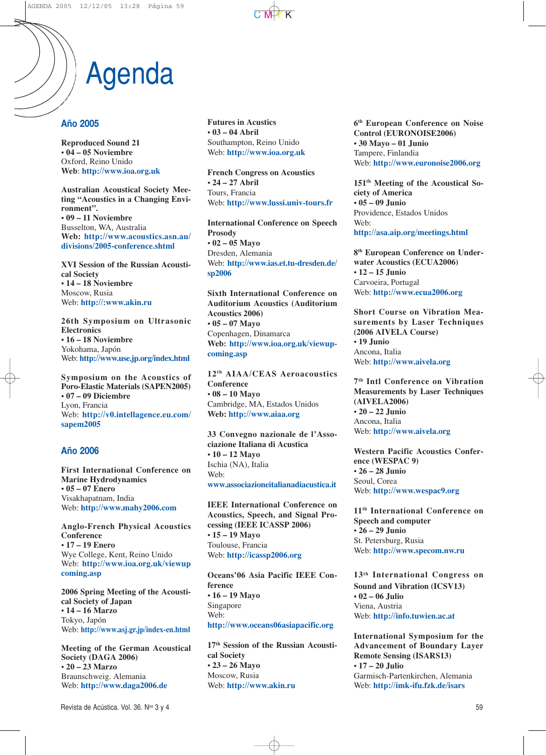## Agenda

#### **Año 2005**

**Reproduced Sound 21 • 04 – 05 Noviembre** Oxford, Reino Unido **Web**: **http://www.ioa.org.uk**

**Australian Acoustical Society Meeting "Acoustics in a Changing Environment". • 09 – 11 Noviembre** Busselton, WA, Australia **Web: http://www.acoustics.asn.au/ divisions/2005-conference.shtml**

**XVI Session of the Russian Acoustical Society • 14 – 18 Noviembre** Moscow, Rusia Web: **http://:www.akin.ru**

**26th Symposium on Ultrasonic Electronics • 16 – 18 Noviembre** Yokohama, Japón Web: **http://www.use.jp.org/index.html**

**Symposium on the Acoustics of Poro-Elastic Materials (SAPEN2005) • 07 – 09 Diciembre** Lyon, Francia Web: **http://v0.intellagence.eu.com/ sapem2005**

### **Año 2006**

**First International Conference on Marine Hydrodynamics • 05 – 07 Enero** Visakhapatnam, India Web: **http://www.mahy2006.com**

**Anglo-French Physical Acoustics Conference • 17 – 19 Enero** Wye College, Kent, Reino Unido Web: **http://www.ioa.org.uk/viewup coming.asp**

**2006 Spring Meeting of the Acoustical Society of Japan • 14 – 16 Marzo** Tokyo, Japón Web: **http://www.asj.gr.jp/index-en.html**

**Meeting of the German Acoustical Society (DAGA 2006) • 20 – 23 Marzo** Braunschweig. Alemania Web: **http://www.daga2006.de**

**Futures in Acustics • 03 – 04 Abril** Southampton, Reino Unido Web: **http://www.ioa.org.uk**

**French Congress on Acoustics • 24 – 27 Abril** Tours, Francia Web: **http://www.lussi.univ-tours.fr**

**International Conference on Speech Prosody • 02 – 05 Mayo** Dresden, Alemania Web: **http://www.ias.et.tu-dresden.de/ sp2006**

**Sixth International Conference on Auditorium Acoustics (Auditorium Acoustics 2006) • 05 – 07 Mayo** Copenhagen, Dinamarca **Web: http://www.ioa.org.uk/viewupcoming.asp**

**12th AIAA/CEAS Aeroacoustics Conference • 08 – 10 Mayo** Cambridge, MA, Estados Unidos **Web: http://www.aiaa.org**

**33 Convegno nazionale de l'Associazione Italiana di Acustica • 10 – 12 Mayo** Ischia (NA), Italia Web: **www.associazioneitalianadiacustica.it**

**IEEE International Conference on Acoustics, Speech, and Signal Processing (IEEE ICASSP 2006) • 15 – 19 Mayo** Toulouse, Francia Web: **http://icassp2006.org**

**Oceans'06 Asia Pacific IEEE Conference • 16 – 19 Mayo** Singapore Web: **http://www.oceans06asiapacific.org**

**17th Session of the Russian Acoustical Society • 23 – 26 Mayo** Moscow, Rusia Web: **http://www.akin.ru**

**6th European Conference on Noise Control (EURONOISE2006) • 30 Mayo – 01 Junio** Tampere, Finlandia Web: **http://www.euronoise2006.org**

**151th Meeting of the Acoustical Society of America • 05 – 09 Junio** Providence, Estados Unidos Web: **http://asa.aip.org/meetings.html**

**8th European Conference on Underwater Acoustics (ECUA2006) • 12 – 15 Junio** Carvoeira, Portugal Web: **http://www.ecua2006.org**

**Short Course on Vibration Measurements by Laser Techniques (2006 AIVELA Course) • 19 Junio** Ancona, Italia Web: **http://www.aivela.org**

**7th Intl Conference on Vibration Measurements by Laser Techniques (AIVELA2006) • 20 – 22 Junio** Ancona, Italia Web: **http://www.aivela.org**

**Western Pacific Acoustics Conference (WESPAC 9) • 26 – 28 Junio** Seoul, Corea Web: **http://www.wespac9.org** 

**11th International Conference on Speech and computer • 26 – 29 Junio** St. Petersburg, Rusia Web: **http://www.specom.nw.ru**

**13th International Congress on Sound and Vibration (ICSV13) • 02 – 06 Julio** Viena, Austria Web: **http://info.tuwien.ac.at**

**International Symposium for the Advancement of Boundary Layer Remote Sensing (ISARS13) • 17 – 20 Julio** Garmisch-Partenkirchen, Alemania Web: **http://imk-ifu.fzk.de/isars**